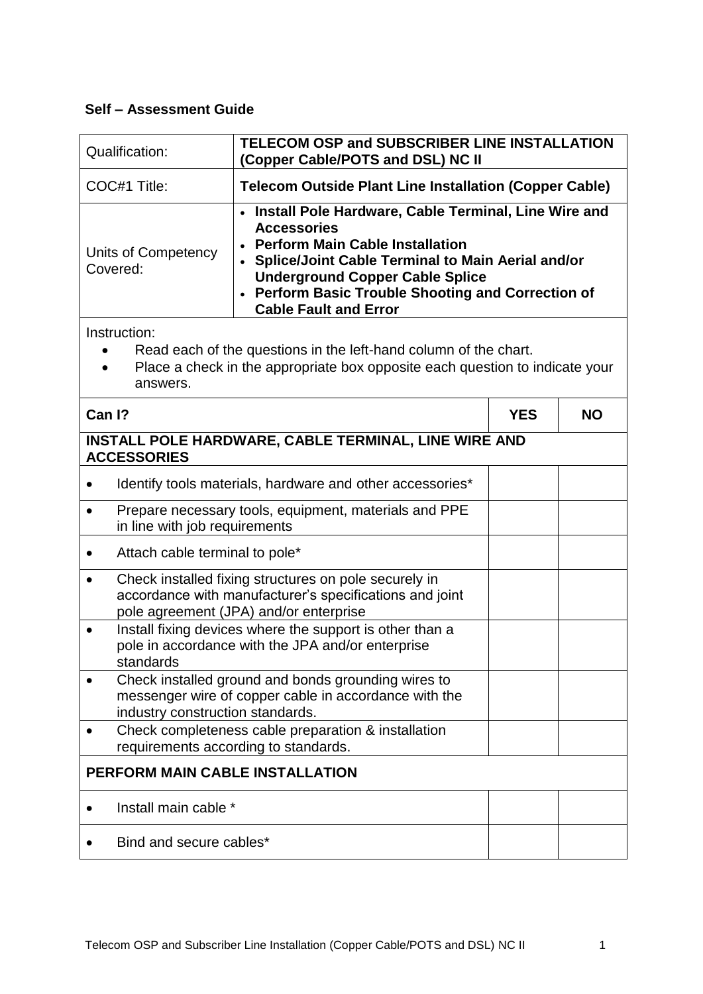## **Self – Assessment Guide**

| <b>Qualification:</b>                                                                                                                                                        | TELECOM OSP and SUBSCRIBER LINE INSTALLATION<br>(Copper Cable/POTS and DSL) NC II                                                                                                                                                                                                                             |            |           |
|------------------------------------------------------------------------------------------------------------------------------------------------------------------------------|---------------------------------------------------------------------------------------------------------------------------------------------------------------------------------------------------------------------------------------------------------------------------------------------------------------|------------|-----------|
| COC#1 Title:                                                                                                                                                                 | <b>Telecom Outside Plant Line Installation (Copper Cable)</b>                                                                                                                                                                                                                                                 |            |           |
| Units of Competency<br>Covered:                                                                                                                                              | • Install Pole Hardware, Cable Terminal, Line Wire and<br><b>Accessories</b><br><b>Perform Main Cable Installation</b><br>• Splice/Joint Cable Terminal to Main Aerial and/or<br><b>Underground Copper Cable Splice</b><br>• Perform Basic Trouble Shooting and Correction of<br><b>Cable Fault and Error</b> |            |           |
| Instruction:<br>Read each of the questions in the left-hand column of the chart.<br>Place a check in the appropriate box opposite each question to indicate your<br>answers. |                                                                                                                                                                                                                                                                                                               |            |           |
| Can I?                                                                                                                                                                       |                                                                                                                                                                                                                                                                                                               | <b>YES</b> | <b>NO</b> |
| <b>ACCESSORIES</b>                                                                                                                                                           | INSTALL POLE HARDWARE, CABLE TERMINAL, LINE WIRE AND                                                                                                                                                                                                                                                          |            |           |
|                                                                                                                                                                              | Identify tools materials, hardware and other accessories*                                                                                                                                                                                                                                                     |            |           |
| $\bullet$<br>in line with job requirements                                                                                                                                   | Prepare necessary tools, equipment, materials and PPE                                                                                                                                                                                                                                                         |            |           |
| Attach cable terminal to pole*                                                                                                                                               |                                                                                                                                                                                                                                                                                                               |            |           |
| $\bullet$                                                                                                                                                                    | Check installed fixing structures on pole securely in<br>accordance with manufacturer's specifications and joint<br>pole agreement (JPA) and/or enterprise                                                                                                                                                    |            |           |
| Install fixing devices where the support is other than a<br>$\bullet$<br>pole in accordance with the JPA and/or enterprise<br>standards                                      |                                                                                                                                                                                                                                                                                                               |            |           |
| Check installed ground and bonds grounding wires to<br>messenger wire of copper cable in accordance with the<br>industry construction standards.                             |                                                                                                                                                                                                                                                                                                               |            |           |
|                                                                                                                                                                              | Check completeness cable preparation & installation<br>requirements according to standards.                                                                                                                                                                                                                   |            |           |
| PERFORM MAIN CABLE INSTALLATION                                                                                                                                              |                                                                                                                                                                                                                                                                                                               |            |           |
| Install main cable *                                                                                                                                                         |                                                                                                                                                                                                                                                                                                               |            |           |
| Bind and secure cables*                                                                                                                                                      |                                                                                                                                                                                                                                                                                                               |            |           |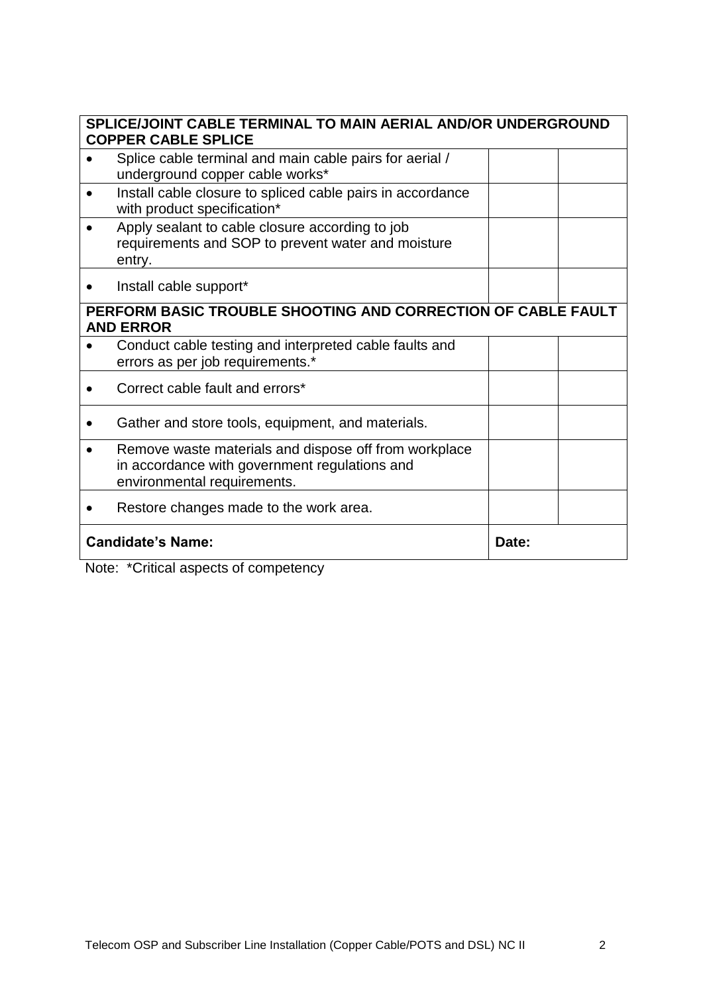| SPLICE/JOINT CABLE TERMINAL TO MAIN AERIAL AND/OR UNDERGROUND<br><b>COPPER CABLE SPLICE</b> |                                                                                                                                       |  |  |
|---------------------------------------------------------------------------------------------|---------------------------------------------------------------------------------------------------------------------------------------|--|--|
|                                                                                             | Splice cable terminal and main cable pairs for aerial /<br>underground copper cable works*                                            |  |  |
|                                                                                             | Install cable closure to spliced cable pairs in accordance<br>with product specification*                                             |  |  |
|                                                                                             | Apply sealant to cable closure according to job<br>requirements and SOP to prevent water and moisture<br>entry.                       |  |  |
|                                                                                             | Install cable support*                                                                                                                |  |  |
| PERFORM BASIC TROUBLE SHOOTING AND CORRECTION OF CABLE FAULT<br><b>AND ERROR</b>            |                                                                                                                                       |  |  |
|                                                                                             | Conduct cable testing and interpreted cable faults and<br>errors as per job requirements.*                                            |  |  |
|                                                                                             | Correct cable fault and errors*                                                                                                       |  |  |
|                                                                                             | Gather and store tools, equipment, and materials.                                                                                     |  |  |
|                                                                                             | Remove waste materials and dispose off from workplace<br>in accordance with government regulations and<br>environmental requirements. |  |  |
|                                                                                             | Restore changes made to the work area.                                                                                                |  |  |
| <b>Candidate's Name:</b><br>Date:                                                           |                                                                                                                                       |  |  |
|                                                                                             | $M = 1 - \frac{1}{2}$                                                                                                                 |  |  |

Note: \*Critical aspects of competency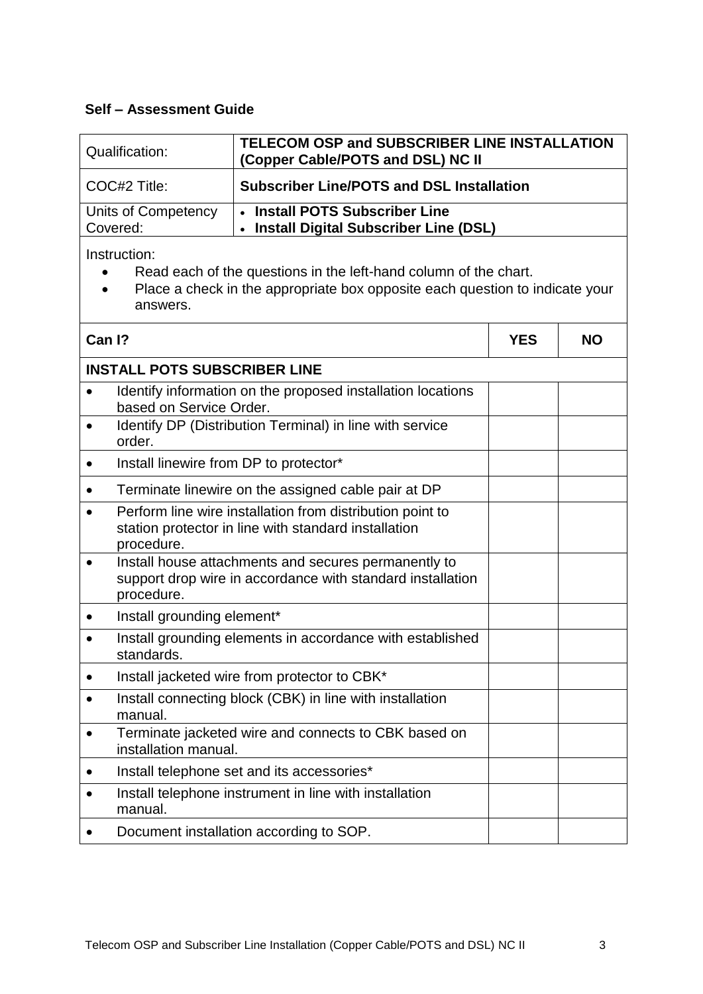## **Self – Assessment Guide**

| Qualification:                  | TELECOM OSP and SUBSCRIBER LINE INSTALLATION<br>(Copper Cable/POTS and DSL) NC II |
|---------------------------------|-----------------------------------------------------------------------------------|
| COC#2 Title:                    | <b>Subscriber Line/POTS and DSL Installation</b>                                  |
| Units of Competency<br>Covered: | • Install POTS Subscriber Line<br>• Install Digital Subscriber Line (DSL)         |

Instruction:

- Read each of the questions in the left-hand column of the chart.
- Place a check in the appropriate box opposite each question to indicate your answers.

| Can I? |                                                                                                                                  | <b>YES</b> | <b>NO</b> |  |
|--------|----------------------------------------------------------------------------------------------------------------------------------|------------|-----------|--|
|        | <b>INSTALL POTS SUBSCRIBER LINE</b>                                                                                              |            |           |  |
|        | Identify information on the proposed installation locations<br>based on Service Order.                                           |            |           |  |
|        | Identify DP (Distribution Terminal) in line with service<br>order.                                                               |            |           |  |
|        | Install linewire from DP to protector*                                                                                           |            |           |  |
|        | Terminate linewire on the assigned cable pair at DP                                                                              |            |           |  |
|        | Perform line wire installation from distribution point to<br>station protector in line with standard installation<br>procedure.  |            |           |  |
|        | Install house attachments and secures permanently to<br>support drop wire in accordance with standard installation<br>procedure. |            |           |  |
|        | Install grounding element*                                                                                                       |            |           |  |
|        | Install grounding elements in accordance with established<br>standards.                                                          |            |           |  |
|        | Install jacketed wire from protector to CBK*                                                                                     |            |           |  |
|        | Install connecting block (CBK) in line with installation<br>manual.                                                              |            |           |  |
|        | Terminate jacketed wire and connects to CBK based on<br>installation manual.                                                     |            |           |  |
|        | Install telephone set and its accessories*                                                                                       |            |           |  |
|        | Install telephone instrument in line with installation<br>manual.                                                                |            |           |  |
|        | Document installation according to SOP.                                                                                          |            |           |  |